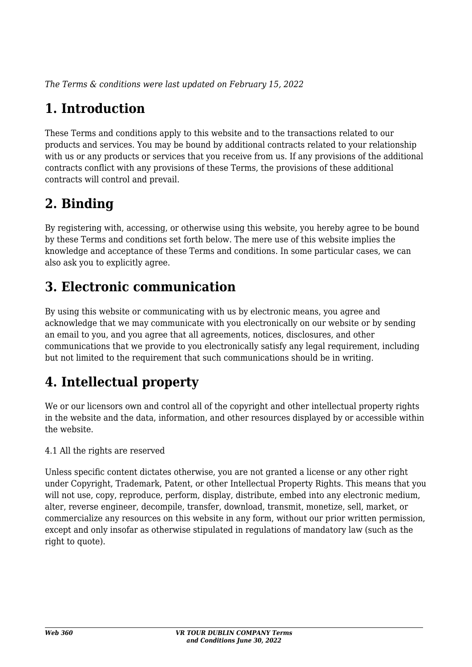*The Terms & conditions were last updated on February 15, 2022*

## **1. Introduction**

These Terms and conditions apply to this website and to the transactions related to our products and services. You may be bound by additional contracts related to your relationship with us or any products or services that you receive from us. If any provisions of the additional contracts conflict with any provisions of these Terms, the provisions of these additional contracts will control and prevail.

## **2. Binding**

By registering with, accessing, or otherwise using this website, you hereby agree to be bound by these Terms and conditions set forth below. The mere use of this website implies the knowledge and acceptance of these Terms and conditions. In some particular cases, we can also ask you to explicitly agree.

## **3. Electronic communication**

By using this website or communicating with us by electronic means, you agree and acknowledge that we may communicate with you electronically on our website or by sending an email to you, and you agree that all agreements, notices, disclosures, and other communications that we provide to you electronically satisfy any legal requirement, including but not limited to the requirement that such communications should be in writing.

## **4. Intellectual property**

We or our licensors own and control all of the copyright and other intellectual property rights in the website and the data, information, and other resources displayed by or accessible within the website.

4.1 All the rights are reserved

Unless specific content dictates otherwise, you are not granted a license or any other right under Copyright, Trademark, Patent, or other Intellectual Property Rights. This means that you will not use, copy, reproduce, perform, display, distribute, embed into any electronic medium, alter, reverse engineer, decompile, transfer, download, transmit, monetize, sell, market, or commercialize any resources on this website in any form, without our prior written permission, except and only insofar as otherwise stipulated in regulations of mandatory law (such as the right to quote).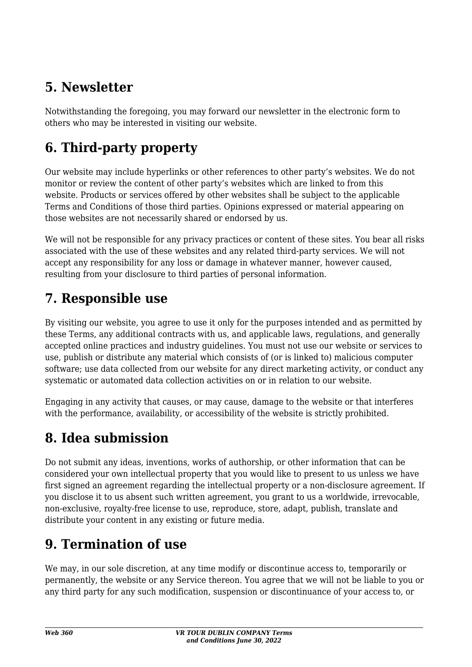## **5. Newsletter**

Notwithstanding the foregoing, you may forward our newsletter in the electronic form to others who may be interested in visiting our website.

# **6. Third-party property**

Our website may include hyperlinks or other references to other party's websites. We do not monitor or review the content of other party's websites which are linked to from this website. Products or services offered by other websites shall be subject to the applicable Terms and Conditions of those third parties. Opinions expressed or material appearing on those websites are not necessarily shared or endorsed by us.

We will not be responsible for any privacy practices or content of these sites. You bear all risks associated with the use of these websites and any related third-party services. We will not accept any responsibility for any loss or damage in whatever manner, however caused, resulting from your disclosure to third parties of personal information.

### **7. Responsible use**

By visiting our website, you agree to use it only for the purposes intended and as permitted by these Terms, any additional contracts with us, and applicable laws, regulations, and generally accepted online practices and industry guidelines. You must not use our website or services to use, publish or distribute any material which consists of (or is linked to) malicious computer software; use data collected from our website for any direct marketing activity, or conduct any systematic or automated data collection activities on or in relation to our website.

Engaging in any activity that causes, or may cause, damage to the website or that interferes with the performance, availability, or accessibility of the website is strictly prohibited.

## **8. Idea submission**

Do not submit any ideas, inventions, works of authorship, or other information that can be considered your own intellectual property that you would like to present to us unless we have first signed an agreement regarding the intellectual property or a non-disclosure agreement. If you disclose it to us absent such written agreement, you grant to us a worldwide, irrevocable, non-exclusive, royalty-free license to use, reproduce, store, adapt, publish, translate and distribute your content in any existing or future media.

## **9. Termination of use**

We may, in our sole discretion, at any time modify or discontinue access to, temporarily or permanently, the website or any Service thereon. You agree that we will not be liable to you or any third party for any such modification, suspension or discontinuance of your access to, or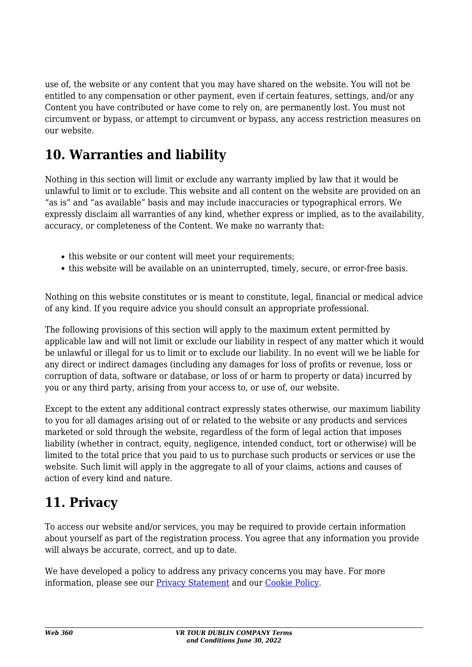use of, the website or any content that you may have shared on the website. You will not be entitled to any compensation or other payment, even if certain features, settings, and/or any Content you have contributed or have come to rely on, are permanently lost. You must not circumvent or bypass, or attempt to circumvent or bypass, any access restriction measures on our website.

## **10. Warranties and liability**

Nothing in this section will limit or exclude any warranty implied by law that it would be unlawful to limit or to exclude. This website and all content on the website are provided on an "as is" and "as available" basis and may include inaccuracies or typographical errors. We expressly disclaim all warranties of any kind, whether express or implied, as to the availability, accuracy, or completeness of the Content. We make no warranty that:

- this website or our content will meet your requirements;
- this website will be available on an uninterrupted, timely, secure, or error-free basis.

Nothing on this website constitutes or is meant to constitute, legal, financial or medical advice of any kind. If you require advice you should consult an appropriate professional.

The following provisions of this section will apply to the maximum extent permitted by applicable law and will not limit or exclude our liability in respect of any matter which it would be unlawful or illegal for us to limit or to exclude our liability. In no event will we be liable for any direct or indirect damages (including any damages for loss of profits or revenue, loss or corruption of data, software or database, or loss of or harm to property or data) incurred by you or any third party, arising from your access to, or use of, our website.

Except to the extent any additional contract expressly states otherwise, our maximum liability to you for all damages arising out of or related to the website or any products and services marketed or sold through the website, regardless of the form of legal action that imposes liability (whether in contract, equity, negligence, intended conduct, tort or otherwise) will be limited to the total price that you paid to us to purchase such products or services or use the website. Such limit will apply in the aggregate to all of your claims, actions and causes of action of every kind and nature.

## **11. Privacy**

To access our website and/or services, you may be required to provide certain information about yourself as part of the registration process. You agree that any information you provide will always be accurate, correct, and up to date.

We have developed a policy to address any privacy concerns you may have. For more information, please see our **Privacy Statement** and our **[Cookie Policy](https://web360.store/cookie-policy-eu/)**.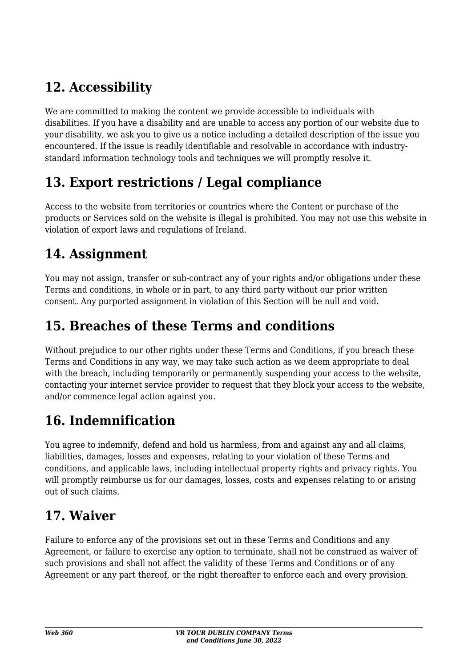## **12. Accessibility**

We are committed to making the content we provide accessible to individuals with disabilities. If you have a disability and are unable to access any portion of our website due to your disability, we ask you to give us a notice including a detailed description of the issue you encountered. If the issue is readily identifiable and resolvable in accordance with industrystandard information technology tools and techniques we will promptly resolve it.

### **13. Export restrictions / Legal compliance**

Access to the website from territories or countries where the Content or purchase of the products or Services sold on the website is illegal is prohibited. You may not use this website in violation of export laws and regulations of Ireland.

## **14. Assignment**

You may not assign, transfer or sub-contract any of your rights and/or obligations under these Terms and conditions, in whole or in part, to any third party without our prior written consent. Any purported assignment in violation of this Section will be null and void.

### **15. Breaches of these Terms and conditions**

Without prejudice to our other rights under these Terms and Conditions, if you breach these Terms and Conditions in any way, we may take such action as we deem appropriate to deal with the breach, including temporarily or permanently suspending your access to the website, contacting your internet service provider to request that they block your access to the website, and/or commence legal action against you.

## **16. Indemnification**

You agree to indemnify, defend and hold us harmless, from and against any and all claims, liabilities, damages, losses and expenses, relating to your violation of these Terms and conditions, and applicable laws, including intellectual property rights and privacy rights. You will promptly reimburse us for our damages, losses, costs and expenses relating to or arising out of such claims.

#### **17. Waiver**

Failure to enforce any of the provisions set out in these Terms and Conditions and any Agreement, or failure to exercise any option to terminate, shall not be construed as waiver of such provisions and shall not affect the validity of these Terms and Conditions or of any Agreement or any part thereof, or the right thereafter to enforce each and every provision.